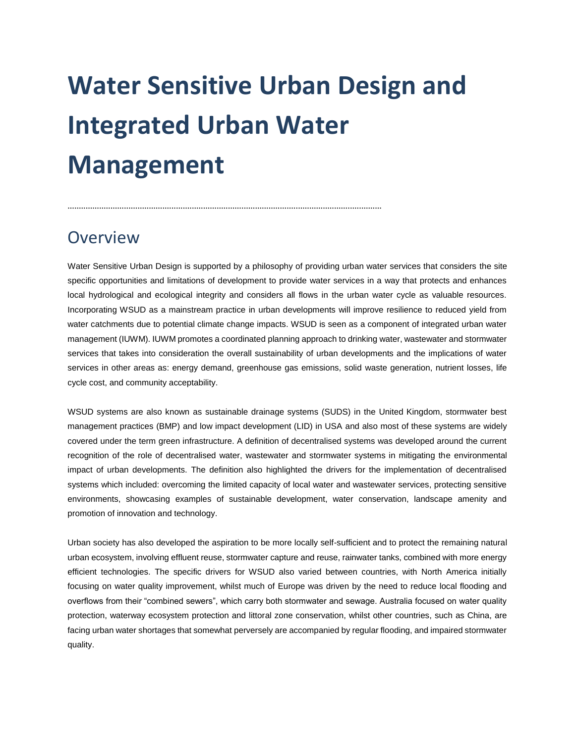## **Water Sensitive Urban Design and Integrated Urban Water Management**

## **Overview**

Water Sensitive Urban Design is supported by a philosophy of providing urban water services that considers the site specific opportunities and limitations of development to provide water services in a way that protects and enhances local hydrological and ecological integrity and considers all flows in the urban water cycle as valuable resources. Incorporating WSUD as a mainstream practice in urban developments will improve resilience to reduced yield from water catchments due to potential climate change impacts. WSUD is seen as a component of integrated urban water management (IUWM). IUWM promotes a coordinated planning approach to drinking water, wastewater and stormwater services that takes into consideration the overall sustainability of urban developments and the implications of water services in other areas as: energy demand, greenhouse gas emissions, solid waste generation, nutrient losses, life cycle cost, and community acceptability.

WSUD systems are also known as sustainable drainage systems (SUDS) in the United Kingdom, stormwater best management practices (BMP) and low impact development (LID) in USA and also most of these systems are widely covered under the term green infrastructure. A definition of decentralised systems was developed around the current recognition of the role of decentralised water, wastewater and stormwater systems in mitigating the environmental impact of urban developments. The definition also highlighted the drivers for the implementation of decentralised systems which included: overcoming the limited capacity of local water and wastewater services, protecting sensitive environments, showcasing examples of sustainable development, water conservation, landscape amenity and promotion of innovation and technology.

Urban society has also developed the aspiration to be more locally self-sufficient and to protect the remaining natural urban ecosystem, involving effluent reuse, stormwater capture and reuse, rainwater tanks, combined with more energy efficient technologies. The specific drivers for WSUD also varied between countries, with North America initially focusing on water quality improvement, whilst much of Europe was driven by the need to reduce local flooding and overflows from their "combined sewers", which carry both stormwater and sewage. Australia focused on water quality protection, waterway ecosystem protection and littoral zone conservation, whilst other countries, such as China, are facing urban water shortages that somewhat perversely are accompanied by regular flooding, and impaired stormwater quality.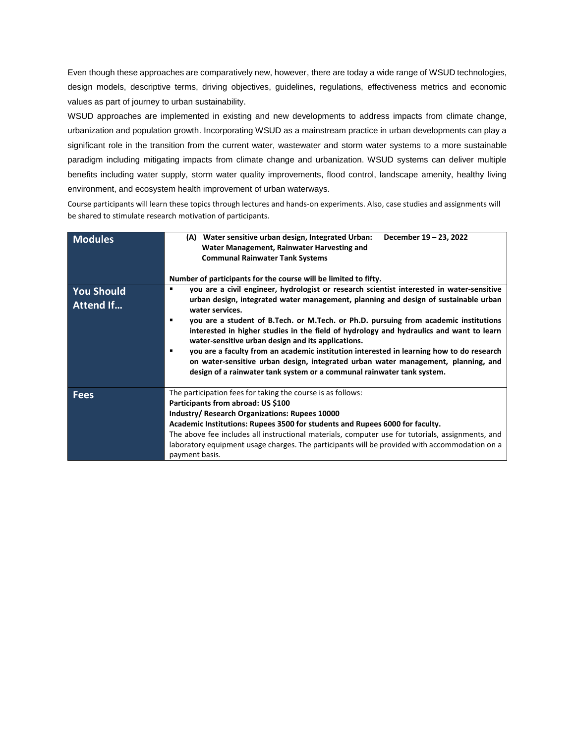Even though these approaches are comparatively new, however, there are today a wide range of WSUD technologies, design models, descriptive terms, driving objectives, guidelines, regulations, effectiveness metrics and economic values as part of journey to urban sustainability.

WSUD approaches are implemented in existing and new developments to address impacts from climate change, urbanization and population growth. Incorporating WSUD as a mainstream practice in urban developments can play a significant role in the transition from the current water, wastewater and storm water systems to a more sustainable paradigm including mitigating impacts from climate change and urbanization. WSUD systems can deliver multiple benefits including water supply, storm water quality improvements, flood control, landscape amenity, healthy living environment, and ecosystem health improvement of urban waterways.

Course participants will learn these topics through lectures and hands-on experiments. Also, case studies and assignments will be shared to stimulate research motivation of participants.

| <b>Modules</b>                        | Water sensitive urban design, Integrated Urban:<br>December 19 - 23, 2022<br>(A)<br>Water Management, Rainwater Harvesting and<br><b>Communal Rainwater Tank Systems</b><br>Number of participants for the course will be limited to fifty.                                                                                                                                                                                                                                                                                                                                                                                                                                                                                         |
|---------------------------------------|-------------------------------------------------------------------------------------------------------------------------------------------------------------------------------------------------------------------------------------------------------------------------------------------------------------------------------------------------------------------------------------------------------------------------------------------------------------------------------------------------------------------------------------------------------------------------------------------------------------------------------------------------------------------------------------------------------------------------------------|
| <b>You Should</b><br><b>Attend If</b> | you are a civil engineer, hydrologist or research scientist interested in water-sensitive<br>٠<br>urban design, integrated water management, planning and design of sustainable urban<br>water services.<br>you are a student of B.Tech. or M.Tech. or Ph.D. pursuing from academic institutions<br>$\blacksquare$<br>interested in higher studies in the field of hydrology and hydraulics and want to learn<br>water-sensitive urban design and its applications.<br>you are a faculty from an academic institution interested in learning how to do research<br>٠<br>on water-sensitive urban design, integrated urban water management, planning, and<br>design of a rainwater tank system or a communal rainwater tank system. |
| <b>Fees</b>                           | The participation fees for taking the course is as follows:<br>Participants from abroad: US \$100<br>Industry/ Research Organizations: Rupees 10000<br>Academic Institutions: Rupees 3500 for students and Rupees 6000 for faculty.<br>The above fee includes all instructional materials, computer use for tutorials, assignments, and<br>laboratory equipment usage charges. The participants will be provided with accommodation on a<br>payment basis.                                                                                                                                                                                                                                                                          |